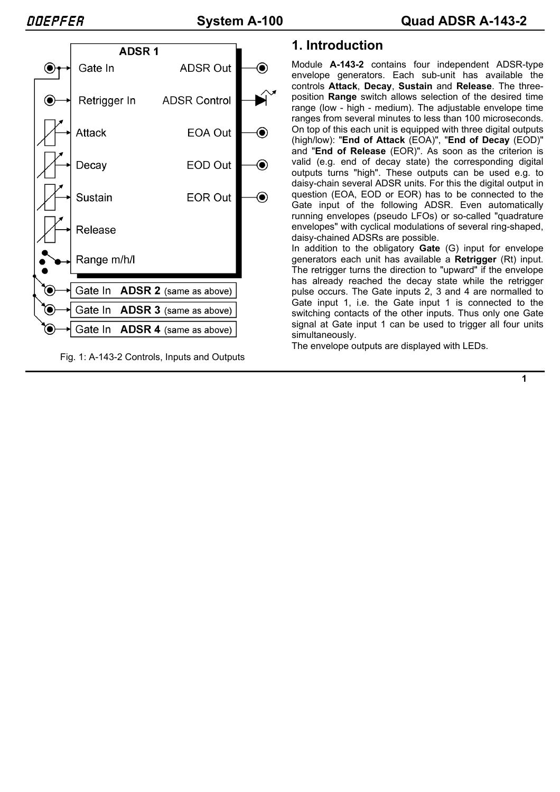

Fig. 1: A-143-2 Controls, Inputs and Outputs

# **1. Introduction**

Module **A-143-2** contains four independent ADSR-type envelope generators. Each sub-unit has available the controls **Attack**, **Decay**, **Sustain** and **Release**. The threeposition **Range** switch allows selection of the desired time range (low - high - medium). The adjustable envelope time ranges from several minutes to less than 100 microseconds. On top of this each unit is equipped with three digital outputs (high/low): "**End of Attack** (EOA)", "**End of Decay** (EOD)" and "**End of Release** (EOR)". As soon as the criterion is valid (e.g. end of decay state) the corresponding digital outputs turns "high". These outputs can be used e.g. to daisy-chain several ADSR units. For this the digital output in question (EOA, EOD or EOR) has to be connected to the Gate input of the following ADSR. Even automatically running envelopes (pseudo LFOs) or so-called "quadrature envelopes" with cyclical modulations of several ring-shaped, daisy-chained ADSRs are possible.

In addition to the obligatory **Gate** (G) input for envelope generators each unit has available a **Retrigger** (Rt) input. The retrigger turns the direction to "upward" if the envelope has already reached the decay state while the retrigger pulse occurs. The Gate inputs 2, 3 and 4 are normalled to Gate input 1, i.e. the Gate input 1 is connected to the switching contacts of the other inputs. Thus only one Gate signal at Gate input 1 can be used to trigger all four units simultaneously.

The envelope outputs are displayed with LEDs.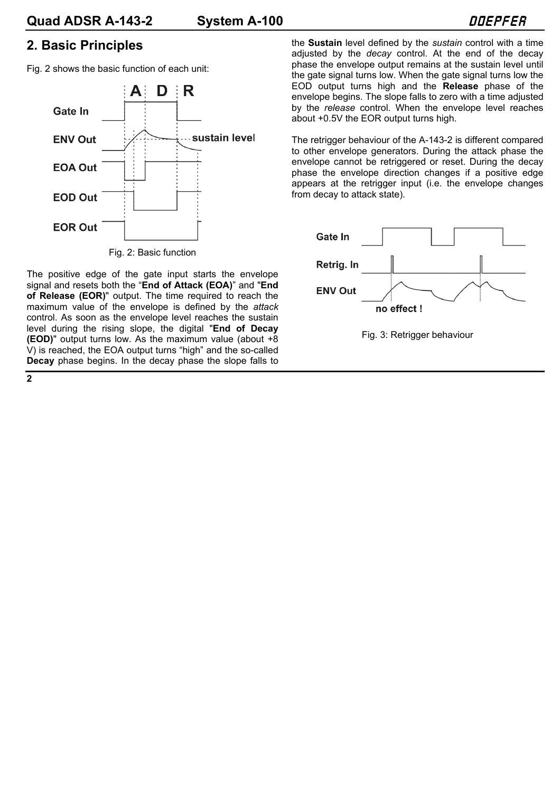## **2. Basic Principles**

Fig. 2 shows the basic function of each unit:



Fig. 2: Basic function

The positive edge of the gate input starts the envelope signal and resets both the "**End of Attack (EOA)**" and "**End of Release (EOR)**" output. The time required to reach the maximum value of the envelope is defined by the *attack* control. As soon as the envelope level reaches the sustain level during the rising slope, the digital "**End of Decay (EOD)**" output turns low. As the maximum value (about +8 V) is reached, the EOA output turns "high" and the so-called **Decay** phase begins. In the decay phase the slope falls to

the **Sustain** level defined by the *sustain* control with a time adjusted by the *decay* control. At the end of the decay phase the envelope output remains at the sustain level until the gate signal turns low. When the gate signal turns low the EOD output turns high and the **Release** phase of the envelope begins. The slope falls to zero with a time adjusted by the *release* control. When the envelope level reaches about +0.5V the EOR output turns high.

The retrigger behaviour of the A-143-2 is different compared to other envelope generators. During the attack phase the envelope cannot be retriggered or reset. During the decay phase the envelope direction changes if a positive edge appears at the retrigger input (i.e. the envelope changes from decay to attack state).

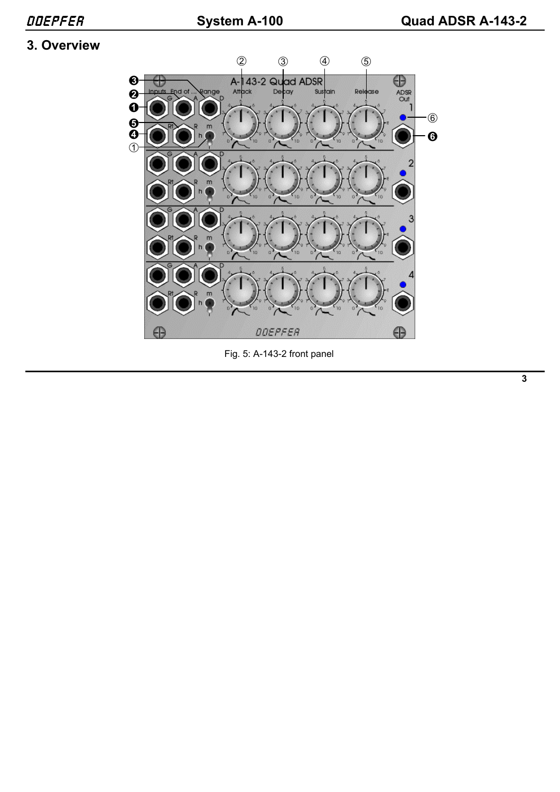# **3. Overview**



Fig. 5: A-143-2 front panel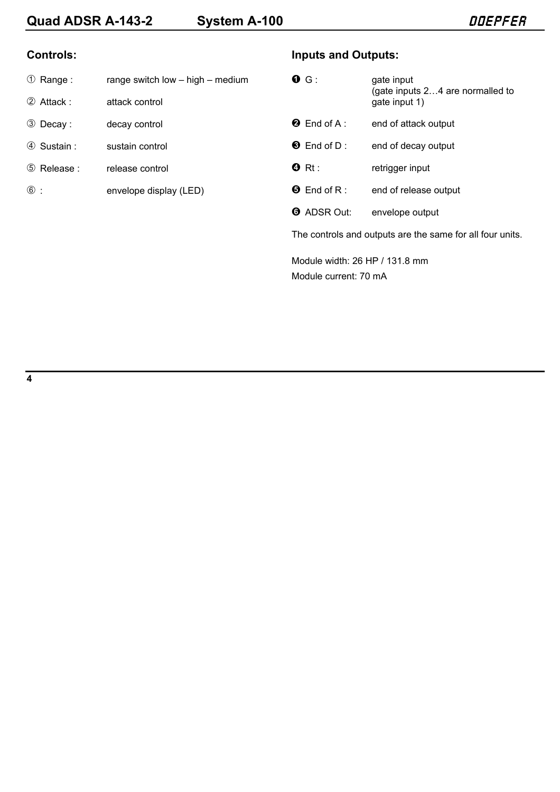#### **Controls:**

| ① Range: |  | range switch low - high - medium |
|----------|--|----------------------------------|
|----------|--|----------------------------------|

- 2 Attack : attack control
- 3 Decay : decay control
- 4 Sustain : sustain control
- 5 Release : release control
- 6 : envelope display (LED)

### **Inputs and Outputs:**

| G.                                                        | gate input<br>(gate inputs 24 are normalled to<br>gate input 1) |  |
|-----------------------------------------------------------|-----------------------------------------------------------------|--|
| <b>2</b> End of A:                                        | end of attack output                                            |  |
| $\bullet$ End of D:                                       | end of decay output                                             |  |
| $\mathbf{\Theta}$ Rt:                                     | retrigger input                                                 |  |
| $\Theta$ End of R:                                        | end of release output                                           |  |
| <b>O</b> ADSR Out:                                        | envelope output                                                 |  |
| The controls and outputs are the same for all four units. |                                                                 |  |
|                                                           |                                                                 |  |

Module width: 26 HP / 131.8 mm Module current: 70 mA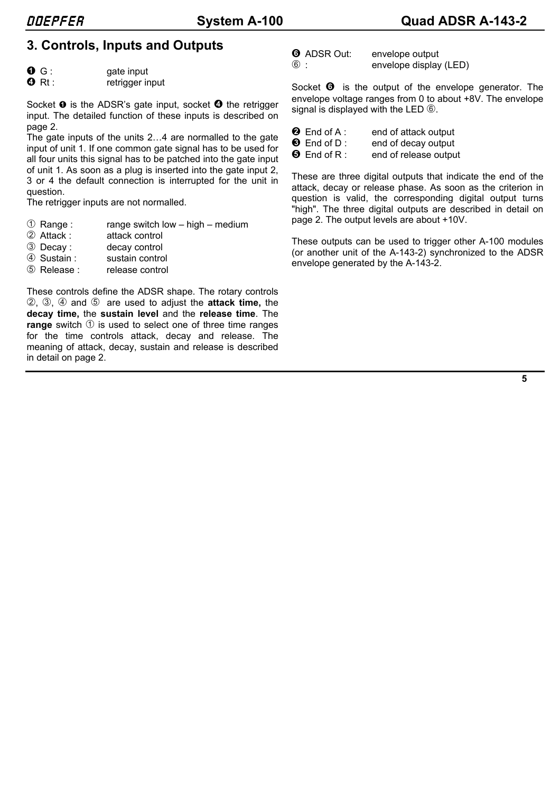# **3. Controls, Inputs and Outputs**

| 0 G :                    | gate input     |
|--------------------------|----------------|
| $\bullet$ divest $\cdot$ | rotrigger inni |

**O** Rt: retrigger input

Socket  $\bullet$  is the ADSR's gate input, socket  $\bullet$  the retrigger input. The detailed function of these inputs is described on page 2.

The gate inputs of the units 2…4 are normalled to the gate input of unit 1. If one common gate signal has to be used for all four units this signal has to be patched into the gate input of unit 1. As soon as a plug is inserted into the gate input 2, 3 or 4 the default connection is interrupted for the unit in question.

The retrigger inputs are not normalled.

- $10$  Range : range switch low high medium
- 2 Attack : attack control
- 3 Decay : decay control
- 4 Sustain : sustain control
- 5 Release : release control

These controls define the ADSR shape. The rotary controls 2, 3, 4 and 5 are used to adjust the **attack time,** the **decay time,** the **sustain level** and the **release time**. The **range** switch  $\odot$  is used to select one of three time ranges for the time controls attack, decay and release. The meaning of attack, decay, sustain and release is described in detail on page 2.

| <b>O</b> ADSR Out: | envelope output        |
|--------------------|------------------------|
| $\circledast$ :    | envelope display (LED) |

Socket  $\Theta$  is the output of the envelope generator. The envelope voltage ranges from 0 to about +8V. The envelope signal is displayed with the LED  $\circledS$ .

| $\bullet$ End of A :     | end of attack output  |
|--------------------------|-----------------------|
| $\bullet$ End of D :     | end of decay output   |
| $\bm{\Theta}$ End of R : | end of release output |

These are three digital outputs that indicate the end of the attack, decay or release phase. As soon as the criterion in question is valid, the corresponding digital output turns "high". The three digital outputs are described in detail on page 2. The output levels are about +10V.

These outputs can be used to trigger other A-100 modules (or another unit of the A-143-2) synchronized to the ADSR envelope generated by the A-143-2.